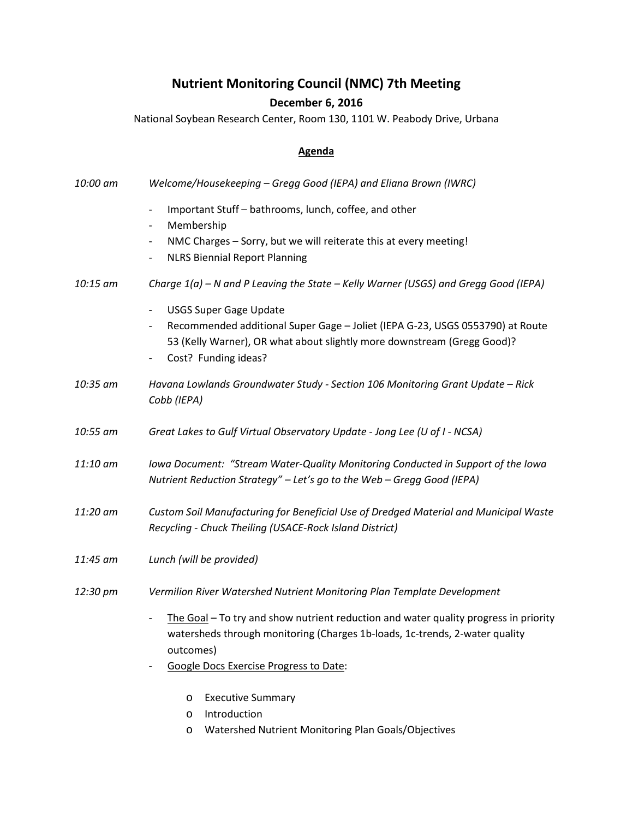## **Nutrient Monitoring Council (NMC) 7th Meeting**

## **December 6, 2016**

National Soybean Research Center, Room 130, 1101 W. Peabody Drive, Urbana

## **Agenda**

| 10:00 am | Welcome/Housekeeping - Gregg Good (IEPA) and Eliana Brown (IWRC)                                                                                                                                                                                                                                   |
|----------|----------------------------------------------------------------------------------------------------------------------------------------------------------------------------------------------------------------------------------------------------------------------------------------------------|
|          | Important Stuff - bathrooms, lunch, coffee, and other<br>$\overline{\phantom{a}}$<br>Membership<br>$\qquad \qquad -$<br>NMC Charges - Sorry, but we will reiterate this at every meeting!<br>$\qquad \qquad -$<br><b>NLRS Biennial Report Planning</b><br>$\overline{\phantom{a}}$                 |
| 10:15 am | Charge 1(a) - N and P Leaving the State - Kelly Warner (USGS) and Gregg Good (IEPA)                                                                                                                                                                                                                |
|          | <b>USGS Super Gage Update</b><br>$\overline{\phantom{a}}$<br>Recommended additional Super Gage - Joliet (IEPA G-23, USGS 0553790) at Route<br>$\qquad \qquad -$<br>53 (Kelly Warner), OR what about slightly more downstream (Gregg Good)?<br>Cost? Funding ideas?<br>$\qquad \qquad \blacksquare$ |
| 10:35 am | Havana Lowlands Groundwater Study - Section 106 Monitoring Grant Update - Rick<br>Cobb (IEPA)                                                                                                                                                                                                      |
| 10:55 am | Great Lakes to Gulf Virtual Observatory Update - Jong Lee (U of I - NCSA)                                                                                                                                                                                                                          |
| 11:10 am | Iowa Document: "Stream Water-Quality Monitoring Conducted in Support of the Iowa<br>Nutrient Reduction Strategy" - Let's go to the Web - Gregg Good (IEPA)                                                                                                                                         |
| 11:20 am | Custom Soil Manufacturing for Beneficial Use of Dredged Material and Municipal Waste<br>Recycling - Chuck Theiling (USACE-Rock Island District)                                                                                                                                                    |
| 11:45 am | Lunch (will be provided)                                                                                                                                                                                                                                                                           |
| 12:30 pm | Vermilion River Watershed Nutrient Monitoring Plan Template Development                                                                                                                                                                                                                            |
|          | The Goal - To try and show nutrient reduction and water quality progress in priority<br>$\overline{\phantom{a}}$<br>watersheds through monitoring (Charges 1b-loads, 1c-trends, 2-water quality<br>outcomes)<br><b>Google Docs Exercise Progress to Date:</b>                                      |
|          | <b>Executive Summary</b><br>O                                                                                                                                                                                                                                                                      |

- o Introduction
- o Watershed Nutrient Monitoring Plan Goals/Objectives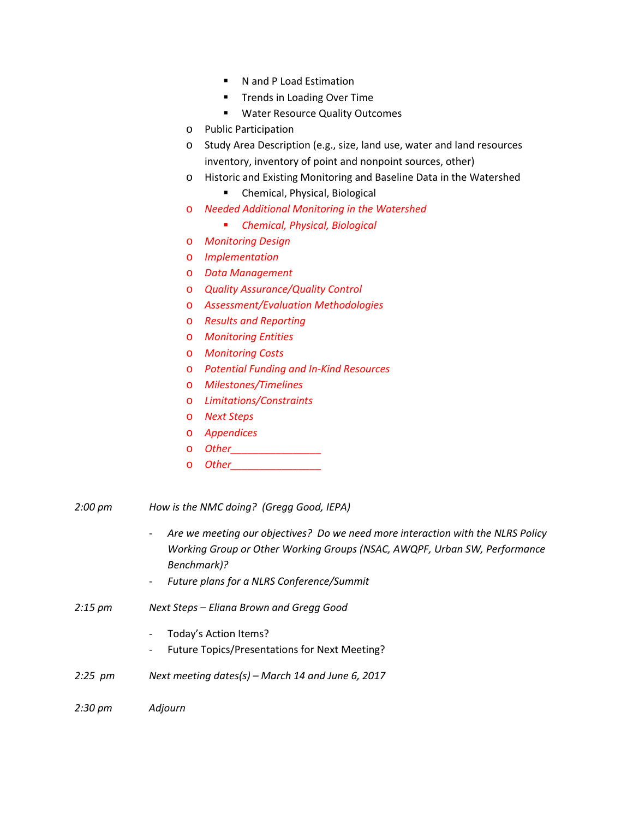- N and P Load Estimation
- **Trends in Loading Over Time**
- **Water Resource Quality Outcomes**
- o Public Participation
- o Study Area Description (e.g., size, land use, water and land resources inventory, inventory of point and nonpoint sources, other)
- o Historic and Existing Monitoring and Baseline Data in the Watershed
	- **E** Chemical, Physical, Biological
- o *Needed Additional Monitoring in the Watershed*
	- *Chemical, Physical, Biological*
- o *Monitoring Design*
- o *Implementation*
- o *Data Management*
- o *Quality Assurance/Quality Control*
- o *Assessment/Evaluation Methodologies*
- o *Results and Reporting*
- o *Monitoring Entities*
- o *Monitoring Costs*
- o *Potential Funding and In-Kind Resources*
- o *Milestones/Timelines*
- o *Limitations/Constraints*
- o *Next Steps*
- o *Appendices*
- o *Other\_\_\_\_\_\_\_\_\_\_\_\_\_\_\_\_*
- o *Other\_\_\_\_\_\_\_\_\_\_\_\_\_\_\_\_*
- *2:00 pm How is the NMC doing? (Gregg Good, IEPA)* 
	- *Are we meeting our objectives? Do we need more interaction with the NLRS Policy Working Group or Other Working Groups (NSAC, AWQPF, Urban SW, Performance Benchmark)?*
	- *Future plans for a NLRS Conference/Summit*
- *2:15 pm Next Steps – Eliana Brown and Gregg Good*
	- Today's Action Items?
	- Future Topics/Presentations for Next Meeting?
- *2:25 pm Next meeting dates(s) – March 14 and June 6, 2017*
- *2:30 pm Adjourn*